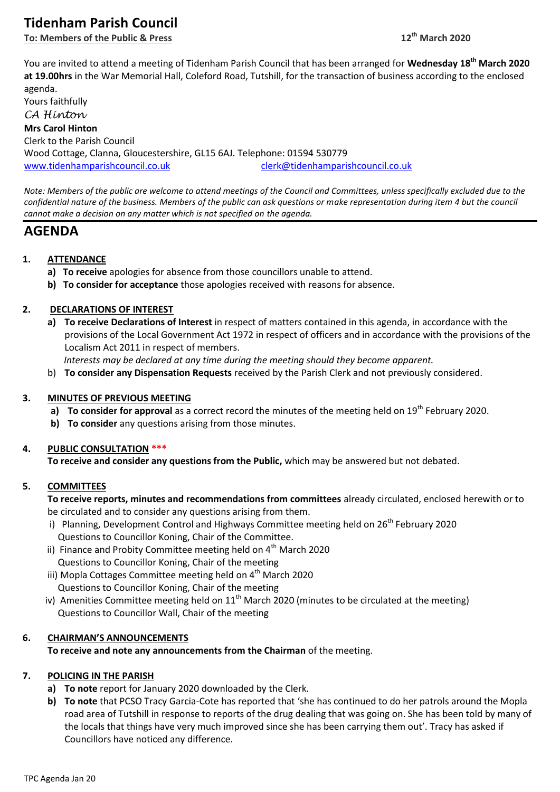# **Tidenham Parish Council**

**To: Members of the Public & Press 12th March 2020**

You are invited to attend a meeting of Tidenham Parish Council that has been arranged for **Wednesday 18th March 2020 at 19.00hrs** in the War Memorial Hall, Coleford Road, Tutshill, for the transaction of business according to the enclosed agenda.

Yours faithfully *CA Hinton* **Mrs Carol Hinton** Clerk to the Parish Council Wood Cottage, Clanna, Gloucestershire, GL15 6AJ. Telephone: 01594 530779 [www.tidenhamparishcouncil.co.uk](http://www.tidenhamparishcouncil.co.uk/) [clerk@tidenhamparishcouncil.co.uk](mailto:clerk@tidenhamparishcouncil.co.uk)

*Note: Members of the public are welcome to attend meetings of the Council and Committees, unless specifically excluded due to the confidential nature of the business. Members of the public can ask questions or make representation during item 4 but the council cannot make a decision on any matter which is not specified on the agenda.*

## **AGENDA**

## **1. ATTENDANCE**

- **a) To receive** apologies for absence from those councillors unable to attend.
- **b) To consider for acceptance** those apologies received with reasons for absence.

## **2. DECLARATIONS OF INTEREST**

**a) To receive Declarations of Interest** in respect of matters contained in this agenda, in accordance with the provisions of the Local Government Act 1972 in respect of officers and in accordance with the provisions of the Localism Act 2011 in respect of members.

 *Interests may be declared at any time during the meeting should they become apparent.*

b) **To consider any Dispensation Requests** received by the Parish Clerk and not previously considered.

#### **3. MINUTES OF PREVIOUS MEETING**

- a) **To consider for approval** as a correct record the minutes of the meeting held on 19<sup>th</sup> February 2020.
- **b) To consider** any questions arising from those minutes.

#### **4. PUBLIC CONSULTATION \*\*\***

**To receive and consider any questions from the Public,** which may be answered but not debated.

#### **5. COMMITTEES**

**To receive reports, minutes and recommendations from committees** already circulated, enclosed herewith or to be circulated and to consider any questions arising from them.

- i) Planning, Development Control and Highways Committee meeting held on  $26<sup>th</sup>$  February 2020 Questions to Councillor Koning, Chair of the Committee.
- ii) Finance and Probity Committee meeting held on  $4<sup>th</sup>$  March 2020 Questions to Councillor Koning, Chair of the meeting
- iii) Mopla Cottages Committee meeting held on 4<sup>th</sup> March 2020 Questions to Councillor Koning, Chair of the meeting
- iv) Amenities Committee meeting held on  $11<sup>th</sup>$  March 2020 (minutes to be circulated at the meeting) Questions to Councillor Wall, Chair of the meeting

## **6. CHAIRMAN'S ANNOUNCEMENTS**

**To receive and note any announcements from the Chairman** of the meeting.

## **7. POLICING IN THE PARISH**

- **a) To note** report for January 2020 downloaded by the Clerk.
- **b) To note** that PCSO Tracy Garcia-Cote has reported that 'she has continued to do her patrols around the Mopla road area of Tutshill in response to reports of the drug dealing that was going on. She has been told by many of the locals that things have very much improved since she has been carrying them out'. Tracy has asked if Councillors have noticed any difference.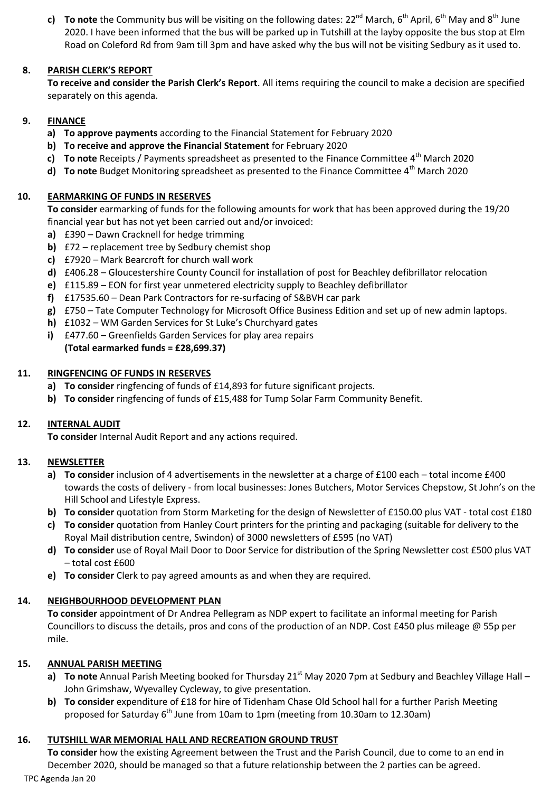**c) To note** the Community bus will be visiting on the following dates:  $22^{nd}$  March,  $6^{th}$  April,  $6^{th}$  May and  $8^{th}$  June 2020. I have been informed that the bus will be parked up in Tutshill at the layby opposite the bus stop at Elm Road on Coleford Rd from 9am till 3pm and have asked why the bus will not be visiting Sedbury as it used to.

### **8. PARISH CLERK'S REPORT**

**To receive and consider the Parish Clerk's Report**. All items requiring the council to make a decision are specified separately on this agenda.

#### **9. FINANCE**

- **a) To approve payments** according to the Financial Statement for February 2020
- **b) To receive and approve the Financial Statement** for February 2020
- **c)** To note Receipts / Payments spreadsheet as presented to the Finance Committee 4<sup>th</sup> March 2020
- **d) To note** Budget Monitoring spreadsheet as presented to the Finance Committee 4<sup>th</sup> March 2020

#### **10. EARMARKING OF FUNDS IN RESERVES**

**To consider** earmarking of funds for the following amounts for work that has been approved during the 19/20 financial year but has not yet been carried out and/or invoiced:

- **a)** £390 Dawn Cracknell for hedge trimming
- **b)** £72 replacement tree by Sedbury chemist shop
- **c)** £7920 Mark Bearcroft for church wall work
- **d)** £406.28 Gloucestershire County Council for installation of post for Beachley defibrillator relocation
- **e)** £115.89 EON for first year unmetered electricity supply to Beachley defibrillator
- **f)** £17535.60 Dean Park Contractors for re-surfacing of S&BVH car park
- **g)** £750 Tate Computer Technology for Microsoft Office Business Edition and set up of new admin laptops.
- **h)** £1032 WM Garden Services for St Luke's Churchyard gates
- **i)** £477.60 Greenfields Garden Services for play area repairs **(Total earmarked funds = £28,699.37)**

#### **11. RINGFENCING OF FUNDS IN RESERVES**

- **a) To consider** ringfencing of funds of £14,893 for future significant projects.
- **b) To consider** ringfencing of funds of £15,488 for Tump Solar Farm Community Benefit.

#### **12. INTERNAL AUDIT**

**To consider** Internal Audit Report and any actions required.

#### **13. NEWSLETTER**

- **a) To consider** inclusion of 4 advertisements in the newsletter at a charge of £100 each total income £400 towards the costs of delivery - from local businesses: Jones Butchers, Motor Services Chepstow, St John's on the Hill School and Lifestyle Express.
- **b) To consider** quotation from Storm Marketing for the design of Newsletter of £150.00 plus VAT total cost £180
- **c) To consider** quotation from Hanley Court printers for the printing and packaging (suitable for delivery to the Royal Mail distribution centre, Swindon) of 3000 newsletters of £595 (no VAT)
- **d) To consider** use of Royal Mail Door to Door Service for distribution of the Spring Newsletter cost £500 plus VAT – total cost £600
- **e) To consider** Clerk to pay agreed amounts as and when they are required.

## **14. NEIGHBOURHOOD DEVELOPMENT PLAN**

**To consider** appointment of Dr Andrea Pellegram as NDP expert to facilitate an informal meeting for Parish Councillors to discuss the details, pros and cons of the production of an NDP. Cost £450 plus mileage @ 55p per mile.

#### **15. ANNUAL PARISH MEETING**

- **a) To note** Annual Parish Meeting booked for Thursday 21<sup>st</sup> May 2020 7pm at Sedbury and Beachley Village Hall John Grimshaw, Wyevalley Cycleway, to give presentation.
- **b) To consider** expenditure of £18 for hire of Tidenham Chase Old School hall for a further Parish Meeting proposed for Saturday  $6<sup>th</sup>$  June from 10am to 1pm (meeting from 10.30am to 12.30am)

#### **16. TUTSHILL WAR MEMORIAL HALL AND RECREATION GROUND TRUST**

TPC Agenda Jan 20 **To consider** how the existing Agreement between the Trust and the Parish Council, due to come to an end in December 2020, should be managed so that a future relationship between the 2 parties can be agreed.